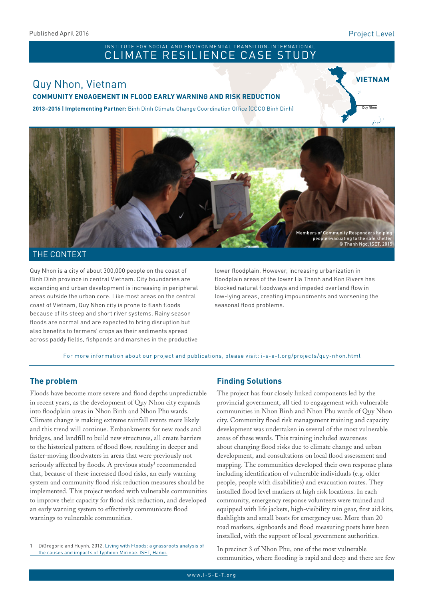#### Project Level

Quy Nhon

**VIETNAM**

# INSTITUTE FOR SOCIAL AND ENVIRONMENTAL TRANSITION-INTERNATIONAL<br>CLIMATE RESILIENCE CASE STUDY

# Quy Nhon, Vietnam

#### **COMMUNITY ENGAGEMENT IN FLOOD EARLY WARNING AND RISK REDUCTION**

**2013–2016 | Implementing Partner:** Binh Dinh Climate Change Coordination Office (CCCO Binh Dinh)



#### THE CONTEXT

Quy Nhon is a city of about 300,000 people on the coast of Binh Dinh province in central Vietnam. City boundaries are expanding and urban development is increasing in peripheral areas outside the urban core. Like most areas on the central coast of Vietnam, Quy Nhon city is prone to flash floods because of its steep and short river systems. Rainy season floods are normal and are expected to bring disruption but also benefits to farmers' crops as their sediments spread across paddy fields, fishponds and marshes in the productive

lower floodplain. However, increasing urbanization in floodplain areas of the lower Ha Thanh and Kon Rivers has blocked natural floodways and impeded overland flow in low-lying areas, creating impoundments and worsening the seasonal flood problems.

For more information about our project and publications, please visit: [i-s-e-t.org/projects/quy-nhon.html]( i-s-e-t.org/projects/quy-nhon.html)

#### **The problem**

Floods have become more severe and flood depths unpredictable in recent years, as the development of Quy Nhon city expands into floodplain areas in Nhon Binh and Nhon Phu wards. Climate change is making extreme rainfall events more likely and this trend will continue. Embankments for new roads and bridges, and landfill to build new structures, all create barriers to the historical pattern of flood flow, resulting in deeper and faster-moving floodwaters in areas that were previously not seriously affected by floods. A previous study<sup>1</sup> recommended that, because of these increased flood risks, an early warning system and community flood risk reduction measures should be implemented. This project worked with vulnerable communities to improve their capacity for flood risk reduction, and developed an early warning system to effectively communicate flood warnings to vulnerable communities.

#### **Finding Solutions**

The project has four closely linked components led by the provincial government, all tied to engagement with vulnerable communities in Nhon Binh and Nhon Phu wards of Quy Nhon city. Community flood risk management training and capacity development was undertaken in several of the most vulnerable areas of these wards. This training included awareness about changing flood risks due to climate change and urban development, and consultations on local flood assessment and mapping. The communities developed their own response plans including identification of vulnerable individuals (e.g. older people, people with disabilities) and evacuation routes. They installed flood level markers at high risk locations. In each community, emergency response volunteers were trained and equipped with life jackets, high-visibility rain gear, first aid kits, flashlights and small boats for emergency use. More than 20 road markers, signboards and flood measuring posts have been installed, with the support of local government authorities.

In precinct 3 of Nhon Phu, one of the most vulnerable communities, where flooding is rapid and deep and there are few

DiGregorio and Huynh, 2012. Living with Floods: a grassroots analysis of [the causes and impacts of Typhoon Mirinae. ISET, Hanoi.](http://i-s-e-t.org/resources/major-program-reports/floods.html)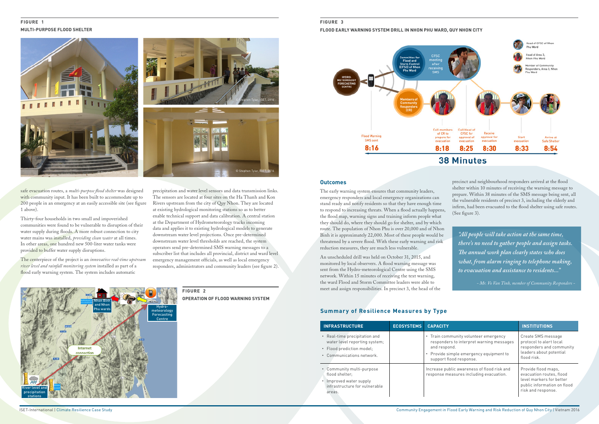safe evacuation routes, a *multi-purpose flood shelter* was designed with community input. It has been built to accommodate up to 200 people in an emergency at an easily accessible site (see figure 1 above).

The centerpiece of the project is an *innovative real-time upstream river level and rainfall monitoring system* installed as part of a flood early warning system. The system includes automatic

Thirty-four households in two small and impoverished communities were found to be vulnerable to disruption of their water supply during floods. A more robust connection to city water mains was installed, *providing clean water* at all times. In other areas, one hundred new 500-liter water tanks were provided to buffer water supply disruptions.

#### **Figure 1 MULTI-PURPOSE FLOOD SHELTER**

precipitation and water level sensors and data transmission links. The sensors are located at four sites on the Ha Thanh and Kon Rivers upstream from the city of Quy Nhon. They are located at existing hydrological monitoring stations so as to better enable technical support and data calibration. A central station at the Department of Hydrometeorology tracks incoming data and applies it to existing hydrological models to generate downstream water level projections. Once pre-determined downstream water level thresholds are reached, the system operators send pre-determined SMS warning messages to a subscriber list that includes all provincial, district and ward level emergency management officials, as well as local emergency responders, administrators and community leaders (see figure 2).

> **Figure 2 OPERATION OF FLOOD WARNING SYSTEM**

#### **Outcomes**

The early warning system ensures that community leaders, emergency responders and local emergency organizations can stand ready and notify residents so that they have enough time to respond to increasing threats. When a flood actually happens, the flood map, warning signs and training inform people what they should do, where they should go for shelter, and by which route. The population of Nhon Phu is over 20,000 and of Nhon Binh it is approximately 22,000. Most of these people would be threatened by a severe flood. With these early warning and risk reduction measures, they are much less vulnerable.

An unscheduled drill was held on October 31, 2015, and monitored by local observers. A flood warning message was sent from the Hydro-meteorological Centre using the SMS network. Within 15 minutes of receiving the text warning, the ward Flood and Storm Committee leaders were able to meet and assign responsibilities. In precinct 3, the head of the

#### **Figure 3**

#### **FLOOD EARLY WARNING SYSTEM DRILL IN NHON PHU WARD, QUY NHON CITY**





precinct and neighbourhood responders arrived at the flood shelter within 10 minutes of receiving the warning message to prepare. Within 38 minutes of the SMS message being sent, all the vulnerable residents of precinct 3, including the elderly and infirm, had been evacuated to the flood shelter using safe routes. (See figure 3).

| <b>INFRASTRUCTURE</b>                                                                                                    | <b>ECOSYSTEMS</b> | <b>CAPACITY</b>                                                                                                                                                         | <b>INSTITUTIONS</b>                                                                                                              |
|--------------------------------------------------------------------------------------------------------------------------|-------------------|-------------------------------------------------------------------------------------------------------------------------------------------------------------------------|----------------------------------------------------------------------------------------------------------------------------------|
| • Real-time precipitation and<br>water level reporting system;<br>• Flood prediction model:<br>• Communications network. |                   | • Train community volunteer emergency<br>responders to interpret warning messages<br>and respond.<br>• Provide simple emergency equipment to<br>support flood response. | Create SMS message<br>protocol to alert local<br>responders and community<br>leaders about potential<br>flood risk.              |
| • Community multi-purpose<br>flood shelter:<br>Improved water supply<br>infrastructure for vulnerable<br>areas.          |                   | Increase public awareness of flood risk and<br>response measures including evacuation.                                                                                  | Provide flood maps.<br>evacuation routes, flood<br>level markers for better<br>public information on flood<br>risk and response. |

## **Summary of Resilience Measures by Type**





*"All people will take action at the same time, there's no need to gather people and assign tasks. The annual work plan clearly states who does what, from alarm ringing to telephone making, to evacuation and assistance to residents..."*

*- Mr. Vo Van Tinh, member of Community Responders -*